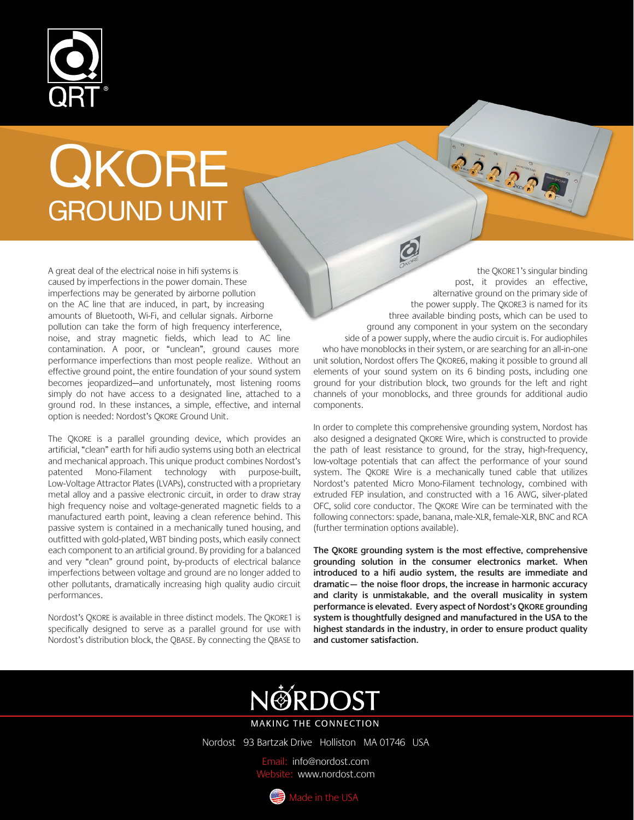

## QKORE GROUND UNIT

A great deal of the electrical noise in hifi systems is caused by imperfections in the power domain. These imperfections may be generated by airborne pollution on the AC line that are induced, in part, by increasing amounts of Bluetooth, Wi-Fi, and cellular signals. Airborne pollution can take the form of high frequency interference, noise, and stray magnetic fields, which lead to AC line contamination. A poor, or "unclean", ground causes more performance imperfections than most people realize. Without an effective ground point, the entire foundation of your sound system becomes jeopardized—and unfortunately, most listening rooms simply do not have access to a designated line, attached to a ground rod. In these instances, a simple, effective, and internal option is needed: Nordost's QKORE Ground Unit.

The QKORE is a parallel grounding device, which provides an artificial, "clean" earth for hifi audio systems using both an electrical and mechanical approach. This unique product<br>combines Nordost's patented Mono-Filament technology combines Nordost's patented<br>with purpose-built. Low-Vol purpose-built, Low-Voltage Attractor Plates (LVAPs), constructed with a proprietary metal alloy and a passive electronic circuit, in order to draw stray high frequency noise and voltage-generated magnetic fields to a manufactured earth point, leaving a clean reference behind. This passive system is contained in a mechanically tuned housing, and outfitted with gold-plated, WBT binding posts, which easily connect each component to an artificial ground. By providing for a balanced and very "clean" ground point, by-products of electrical balance imperfections between voltage and ground are no longer added to other pollutants, dramatically increasing high quality audio circuit performances.

Nordost's QKORE is available in three distinct models. The QKORE1 is specifically designed to serve as a parallel ground for use with Nordost's distribution block, the QBASE. By connecting the QBASE to

 the QKORE1's singular binding post, it provides an effective,alternative ground on the primary side of the power supply. The QKORE3 is named for its three available binding posts, which can be used to ground any component in your system on the secondary side of a power supply, where the audio circuit is. For audiophiles who have monoblocks in their system, or are searching for an all-in-one unit solution, Nordost offers The QKORE6, making it possible to ground all elements of your sound system on its 6 binding posts, including one ground for your distribution block, two grounds for the left and right channels of your monoblocks, and three grounds for additional audio components.

 $\overline{\mathcal{O}}$ 

22223

In order to complete this comprehensive grounding system, Nordost has also designed a designated QKORE Wire, which is constructed to provide the path of least resistance to ground, for the stray, highfrequency, low-voltage potentials that can affect the performance of your sound system. The QKORE Wire is a mechanically tuned cable that utilizes Nordost's patented Micro Mono-Filament technology, combined with extruded FEP insulation, and constructed with a 16 AWG, silver-plated OFC, solid core conductor. The QKORE Wire can be terminated with the following connectors: spade, banana, male-XLR, female-XLR, BNC and RCA (further termination options available).

The QKORE grounding system is the most effective, comprehensive grounding solution in the consumer electronics market. When introduced to a hifi audio system, the results are immediate and dramatic— the noise floor drops, the increase in harmonic accuracy and clarity is unmistakable, and the overall musicality in system performance is elevated. Every aspect of Nordost's QKORE grounding system is thoughtfully designed and manufactured in the USA to the highest standards in the industry, in order to ensure product quality and customer satisfaction.



MAKING THE CONNECTION

Nordost 93 Bartzak Drive Holliston MA 01746 USA

il: info@nordost.com te: www.nordost.com